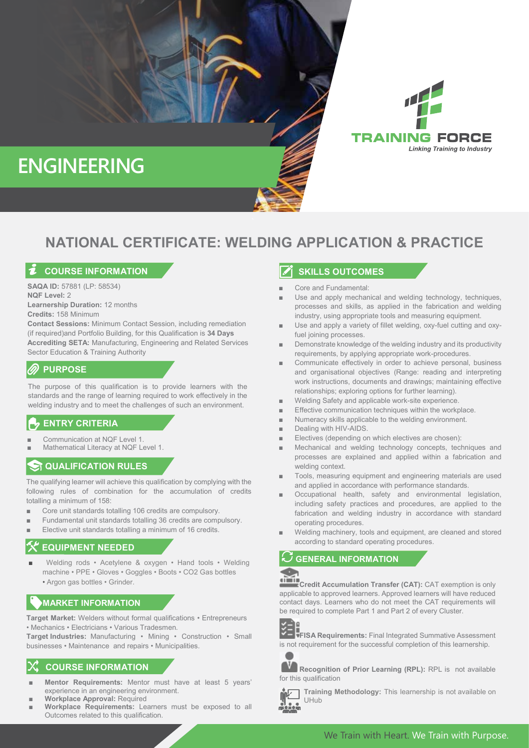

# **ENGINEERING**

# **NATIONAL CERTIFICATE: WELDING APPLICATION & PRACTICE**

#### **COURSE INFORMATION**

**SAQA ID:** 57881 (LP: 58534) **NQF Level:** 2

**Learnership Duration:** 12 months **Credits:** 158 Minimum

**Contact Sessions:** Minimum Contact Session, including remediation (if required)and Portfolio Building, for this Qualification is **34 Days Accrediting SETA:** Manufacturing, Engineering and Related Services Sector Education & Training Authority

### **PURPOSE**

The purpose of this qualification is to provide learners with the standards and the range of learning required to work effectively in the welding industry and to meet the challenges of such an environment.

# **ENTRY CRITERIA**

- Communication at NQF Level 1.
- Mathematical Literacy at NQF Level 1.

#### **ST QUALIFICATION RULES**

The qualifying learner will achieve this qualification by complying with the following rules of combination for the accumulation of credits totalling a minimum of 158:

- Core unit standards totalling 106 credits are compulsory.
- Fundamental unit standards totalling 36 credits are compulsory.
- Elective unit standards totalling a minimum of 16 credits.

# **EQUIPMENT NEEDED**

Welding rods • Acetylene & oxygen • Hand tools • Welding machine • PPE • Gloves • Goggles • Boots • CO2 Gas bottles • Argon gas bottles • Grinder.

## **MARKET INFORMATION**

**Target Market:** Welders without formal qualifications • Entrepreneurs • Mechanics • Electricians • Various Tradesmen.

**Target Industries:** Manufacturing • Mining • Construction • Small businesses • Maintenance and repairs • Municipalities.

#### **COURSE INFORMATION**

- **Mentor Requirements:** Mentor must have at least 5 years' experience in an engineering environment.
- **Workplace Approval: Required**
- **Workplace Requirements:** Learners must be exposed to all Outcomes related to this qualification.

#### **SKILLS OUTCOMES**

- Core and Fundamental:
- Use and apply mechanical and welding technology, techniques, processes and skills, as applied in the fabrication and welding industry, using appropriate tools and measuring equipment.
- Use and apply a variety of fillet welding, oxy-fuel cutting and oxyfuel joining processes.
- Demonstrate knowledge of the welding industry and its productivity requirements, by applying appropriate work-procedures.
- Communicate effectively in order to achieve personal, business and organisational objectives (Range: reading and interpreting work instructions, documents and drawings; maintaining effective relationships; exploring options for further learning).
- Welding Safety and applicable work-site experience.
- Effective communication techniques within the workplace.
- Numeracy skills applicable to the welding environment.
- Dealing with HIV-AIDS.
- Electives (depending on which electives are chosen):
- Mechanical and welding technology concepts, techniques and processes are explained and applied within a fabrication and welding context.
- Tools, measuring equipment and engineering materials are used and applied in accordance with performance standards.
- Occupational health, safety and environmental legislation, including safety practices and procedures, are applied to the fabrication and welding industry in accordance with standard operating procedures.
- Welding machinery, tools and equipment, are cleaned and stored according to standard operating procedures.

#### **GENERAL INFORMATION**



**Credit Accumulation Transfer (CAT):** CAT exemption is only applicable to approved learners. Approved learners will have reduced contact days. Learners who do not meet the CAT requirements will be required to complete Part 1 and Part 2 of every Cluster.



**FISA Requirements:** Final Integrated Summative Assessment is not requirement for the successful completion of this learnership.



**Recognition of Prior Learning (RPL):** RPL is not available for this qualification



**Training Methodology:** This learnership is not available on UHub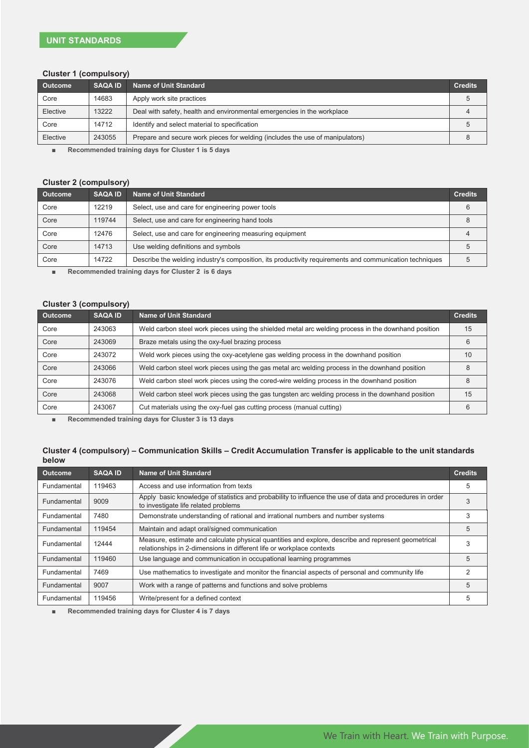#### **Cluster 1 (compulsory)**

| <b>Outcome</b> | <b>SAQA ID</b> | Name of Unit Standard                                                         | <b>Credits</b> |
|----------------|----------------|-------------------------------------------------------------------------------|----------------|
| Core           | 14683          | Apply work site practices                                                     |                |
| Elective       | 13222          | Deal with safety, health and environmental emergencies in the workplace       |                |
| Core           | 14712          | Identify and select material to specification                                 |                |
| Elective       | 243055         | Prepare and secure work pieces for welding (includes the use of manipulators) |                |

■ **Recommended training days for Cluster 1 is 5 days**

#### **Cluster 2 (compulsory)**

| <b>SAQA ID</b> | <b>Name of Unit Standard</b>                                                                            | <b>Credits</b> |
|----------------|---------------------------------------------------------------------------------------------------------|----------------|
| 12219          | Select, use and care for engineering power tools                                                        |                |
| 119744         | Select, use and care for engineering hand tools                                                         |                |
| 12476          | Select, use and care for engineering measuring equipment                                                |                |
| 14713          | Use welding definitions and symbols                                                                     |                |
| 14722          | Describe the welding industry's composition, its productivity requirements and communication techniques |                |
|                |                                                                                                         |                |

■ **Recommended training days for Cluster 2 is 6 days**

#### **Cluster 3 (compulsory)**

| <b>Outcome</b> | <b>SAQA ID</b> | Name of Unit Standard                                                                               | <b>Credits</b> |
|----------------|----------------|-----------------------------------------------------------------------------------------------------|----------------|
| Core           | 243063         | Weld carbon steel work pieces using the shielded metal arc welding process in the downhand position | 15             |
| Core           | 243069         | Braze metals using the oxy-fuel brazing process                                                     | 6              |
| Core           | 243072         | Weld work pieces using the oxy-acetylene gas welding process in the downhand position               | 10             |
| Core           | 243066         | Weld carbon steel work pieces using the gas metal arc welding process in the downhand position      | 8              |
| Core           | 243076         | Weld carbon steel work pieces using the cored-wire welding process in the downhand position         | 8              |
| Core           | 243068         | Weld carbon steel work pieces using the gas tungsten arc welding process in the downhand position   | 15             |
| Core           | 243067         | Cut materials using the oxy-fuel gas cutting process (manual cutting)                               | 6              |

■ **Recommended training days for Cluster 3 is 13 days**

#### **Cluster 4 (compulsory) – Communication Skills – Credit Accumulation Transfer is applicable to the unit standards below**

| Outcome     | <b>SAQA ID</b> | <b>Name of Unit Standard</b>                                                                                                                                                 | <b>Credits</b> |
|-------------|----------------|------------------------------------------------------------------------------------------------------------------------------------------------------------------------------|----------------|
| Fundamental | 119463         | Access and use information from texts                                                                                                                                        | 5              |
| Fundamental | 9009           | Apply basic knowledge of statistics and probability to influence the use of data and procedures in order<br>to investigate life related problems                             |                |
| Fundamental | 7480           | Demonstrate understanding of rational and irrational numbers and number systems                                                                                              | 3              |
| Fundamental | 119454         | Maintain and adapt oral/signed communication                                                                                                                                 | 5              |
| Fundamental | 12444          | Measure, estimate and calculate physical quantities and explore, describe and represent geometrical<br>relationships in 2-dimensions in different life or workplace contexts | 3              |
| Fundamental | 119460         | Use language and communication in occupational learning programmes                                                                                                           | 5              |
| Fundamental | 7469           | Use mathematics to investigate and monitor the financial aspects of personal and community life                                                                              | 2              |
| Fundamental | 9007           | Work with a range of patterns and functions and solve problems                                                                                                               | 5              |
| Fundamental | 119456         | Write/present for a defined context                                                                                                                                          | 5              |

■ **Recommended training days for Cluster 4 is 7 days**